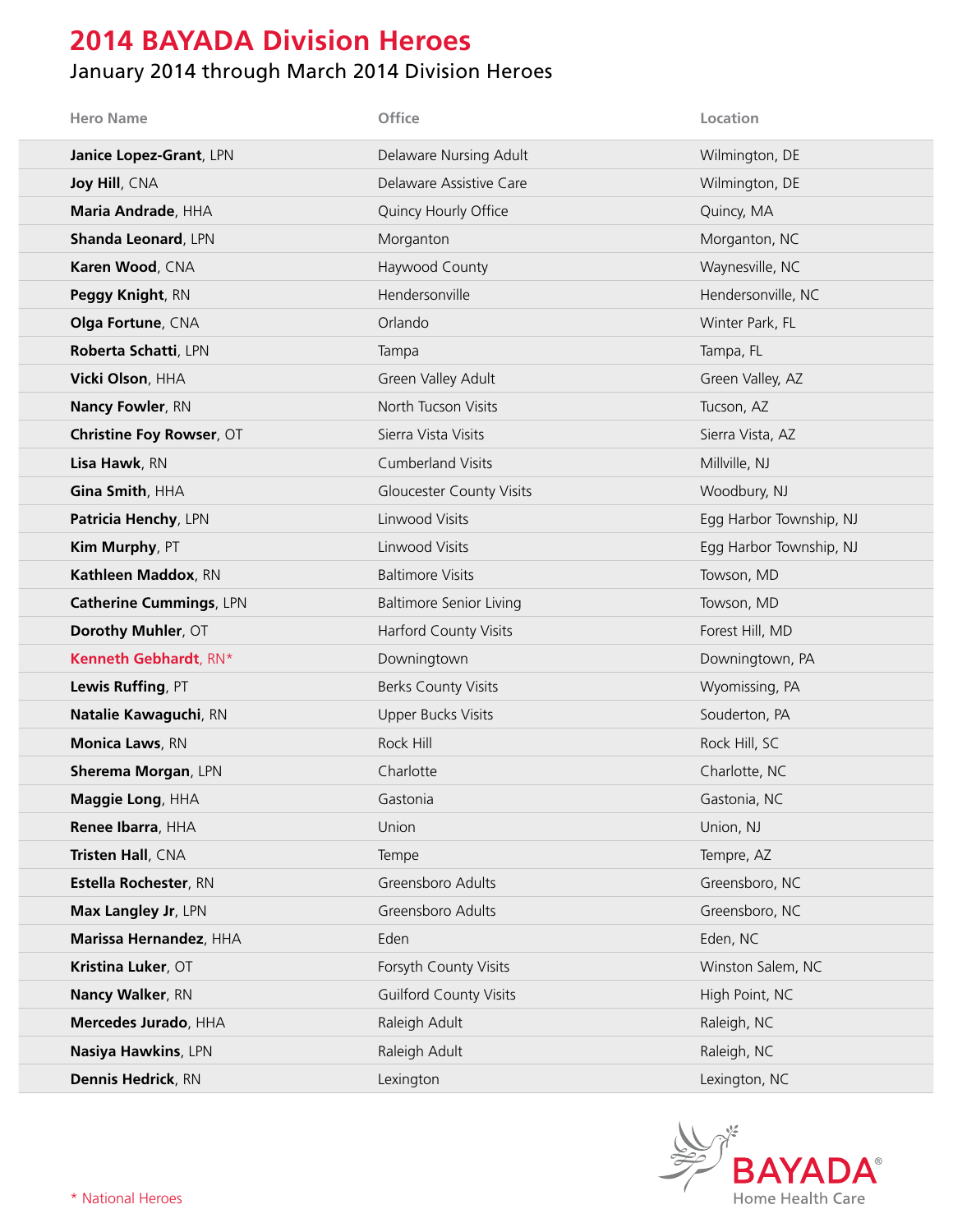# **2014 BAYADA Division Heroes**

#### January 2014 through March 2014 Division Heroes

| <b>Hero Name</b>                | Office                          | Location                |
|---------------------------------|---------------------------------|-------------------------|
| Janice Lopez-Grant, LPN         | Delaware Nursing Adult          | Wilmington, DE          |
| Joy Hill, CNA                   | Delaware Assistive Care         | Wilmington, DE          |
| Maria Andrade, HHA              | Quincy Hourly Office            | Quincy, MA              |
| <b>Shanda Leonard, LPN</b>      | Morganton                       | Morganton, NC           |
| Karen Wood, CNA                 | Haywood County                  | Waynesville, NC         |
| Peggy Knight, RN                | Hendersonville                  | Hendersonville, NC      |
| Olga Fortune, CNA               | Orlando                         | Winter Park, FL         |
| Roberta Schatti, LPN            | Tampa                           | Tampa, FL               |
| Vicki Olson, HHA                | Green Valley Adult              | Green Valley, AZ        |
| <b>Nancy Fowler, RN</b>         | North Tucson Visits             | Tucson, AZ              |
| <b>Christine Foy Rowser, OT</b> | Sierra Vista Visits             | Sierra Vista, AZ        |
| Lisa Hawk, RN                   | <b>Cumberland Visits</b>        | Millville, NJ           |
| Gina Smith, HHA                 | <b>Gloucester County Visits</b> | Woodbury, NJ            |
| Patricia Henchy, LPN            | Linwood Visits                  | Egg Harbor Township, NJ |
| Kim Murphy, PT                  | Linwood Visits                  | Egg Harbor Township, NJ |
| Kathleen Maddox, RN             | <b>Baltimore Visits</b>         | Towson, MD              |
| <b>Catherine Cummings, LPN</b>  | <b>Baltimore Senior Living</b>  | Towson, MD              |
| Dorothy Muhler, OT              | <b>Harford County Visits</b>    | Forest Hill, MD         |
| Kenneth Gebhardt, RN*           | Downingtown                     | Downingtown, PA         |
| Lewis Ruffing, PT               | <b>Berks County Visits</b>      | Wyomissing, PA          |
| Natalie Kawaguchi, RN           | <b>Upper Bucks Visits</b>       | Souderton, PA           |
| Monica Laws, RN                 | Rock Hill                       | Rock Hill, SC           |
| Sherema Morgan, LPN             | Charlotte                       | Charlotte, NC           |
| Maggie Long, HHA                | Gastonia                        | Gastonia, NC            |
| Renee Ibarra, HHA               | Union                           | Union, NJ               |
| Tristen Hall, CNA               | Tempe                           | Tempre, AZ              |
| Estella Rochester, RN           | Greensboro Adults               | Greensboro, NC          |
| Max Langley Jr, LPN             | Greensboro Adults               | Greensboro, NC          |
| Marissa Hernandez, HHA          | Eden                            | Eden, NC                |
| Kristina Luker, OT              | Forsyth County Visits           | Winston Salem, NC       |
| Nancy Walker, RN                | <b>Guilford County Visits</b>   | High Point, NC          |
| Mercedes Jurado, HHA            | Raleigh Adult                   | Raleigh, NC             |
| Nasiya Hawkins, LPN             | Raleigh Adult                   | Raleigh, NC             |
| Dennis Hedrick, RN              | Lexington                       | Lexington, NC           |

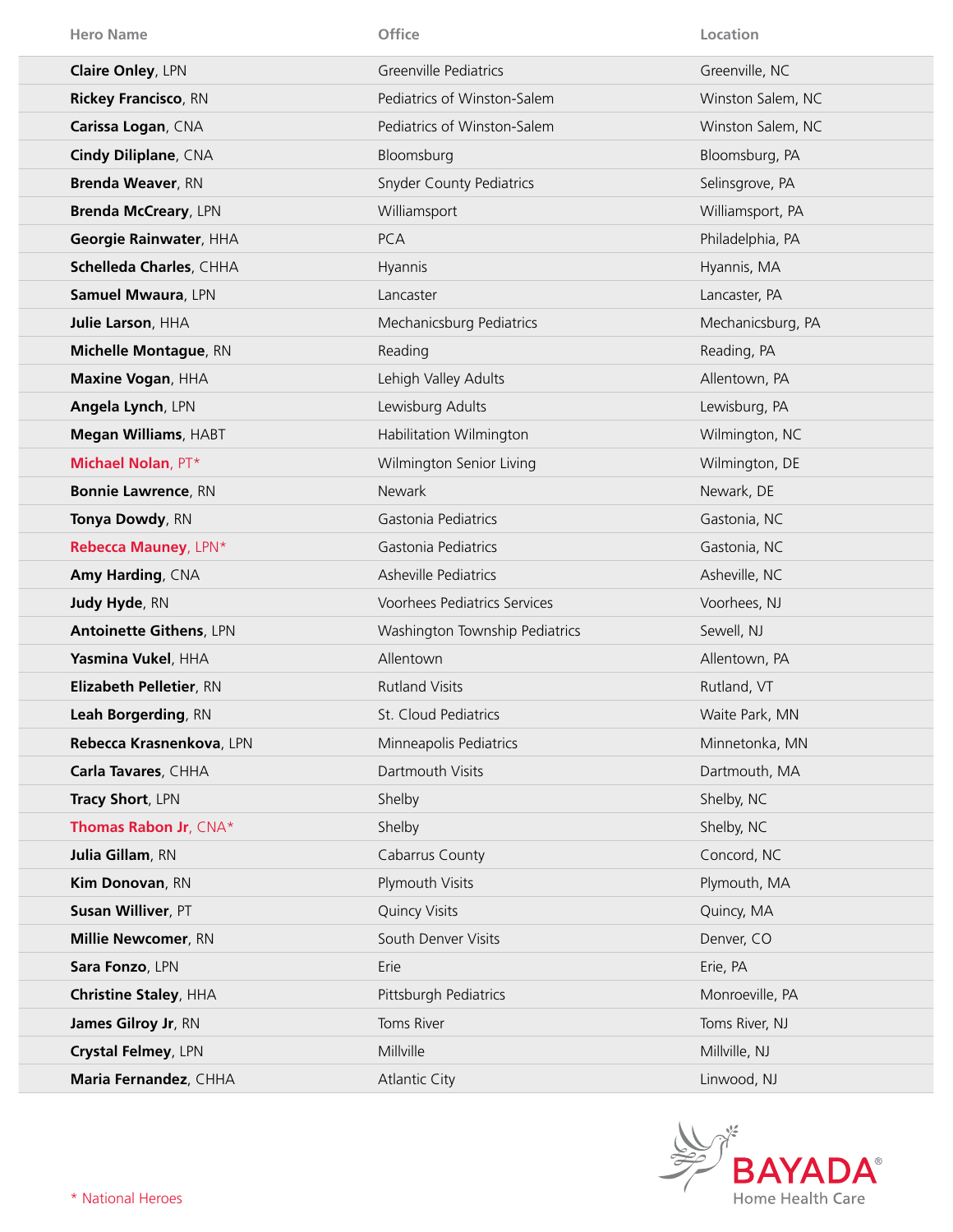| <b>Hero Name</b>               | Office                          | Location          |
|--------------------------------|---------------------------------|-------------------|
| <b>Claire Onley, LPN</b>       | Greenville Pediatrics           | Greenville, NC    |
| <b>Rickey Francisco, RN</b>    | Pediatrics of Winston-Salem     | Winston Salem, NC |
| Carissa Logan, CNA             | Pediatrics of Winston-Salem     | Winston Salem, NC |
| Cindy Diliplane, CNA           | Bloomsburg                      | Bloomsburg, PA    |
| <b>Brenda Weaver, RN</b>       | <b>Snyder County Pediatrics</b> | Selinsgrove, PA   |
| <b>Brenda McCreary, LPN</b>    | Williamsport                    | Williamsport, PA  |
| Georgie Rainwater, HHA         | <b>PCA</b>                      | Philadelphia, PA  |
| Schelleda Charles, CHHA        | Hyannis                         | Hyannis, MA       |
| Samuel Mwaura, LPN             | Lancaster                       | Lancaster, PA     |
| Julie Larson, HHA              | Mechanicsburg Pediatrics        | Mechanicsburg, PA |
| Michelle Montague, RN          | Reading                         | Reading, PA       |
| Maxine Vogan, HHA              | Lehigh Valley Adults            | Allentown, PA     |
| Angela Lynch, LPN              | Lewisburg Adults                | Lewisburg, PA     |
| <b>Megan Williams, HABT</b>    | Habilitation Wilmington         | Wilmington, NC    |
| <b>Michael Nolan, PT*</b>      | Wilmington Senior Living        | Wilmington, DE    |
| <b>Bonnie Lawrence, RN</b>     | <b>Newark</b>                   | Newark, DE        |
| Tonya Dowdy, RN                | Gastonia Pediatrics             | Gastonia, NC      |
| Rebecca Mauney, LPN*           | Gastonia Pediatrics             | Gastonia, NC      |
| Amy Harding, CNA               | Asheville Pediatrics            | Asheville, NC     |
| Judy Hyde, RN                  | Voorhees Pediatrics Services    | Voorhees, NJ      |
| <b>Antoinette Githens, LPN</b> | Washington Township Pediatrics  | Sewell, NJ        |
| Yasmina Vukel, HHA             | Allentown                       | Allentown, PA     |
| Elizabeth Pelletier, RN        | <b>Rutland Visits</b>           | Rutland, VT       |
| Leah Borgerding, RN            | St. Cloud Pediatrics            | Waite Park, MN    |
| Rebecca Krasnenkova, LPN       | Minneapolis Pediatrics          | Minnetonka, MN    |
| Carla Tavares, CHHA            | Dartmouth Visits                | Dartmouth, MA     |
| Tracy Short, LPN               | Shelby                          | Shelby, NC        |
| <b>Thomas Rabon Jr, CNA*</b>   | Shelby                          | Shelby, NC        |
| Julia Gillam, RN               | Cabarrus County                 | Concord, NC       |
| Kim Donovan, RN                | Plymouth Visits                 | Plymouth, MA      |
| Susan Williver, PT             | <b>Quincy Visits</b>            | Quincy, MA        |
| Millie Newcomer, RN            | South Denver Visits             | Denver, CO        |
| Sara Fonzo, LPN                | Erie                            | Erie, PA          |
| <b>Christine Staley, HHA</b>   | Pittsburgh Pediatrics           | Monroeville, PA   |
| James Gilroy Jr, RN            | Toms River                      | Toms River, NJ    |
| Crystal Felmey, LPN            | Millville                       | Millville, NJ     |
| Maria Fernandez, CHHA          | <b>Atlantic City</b>            | Linwood, NJ       |

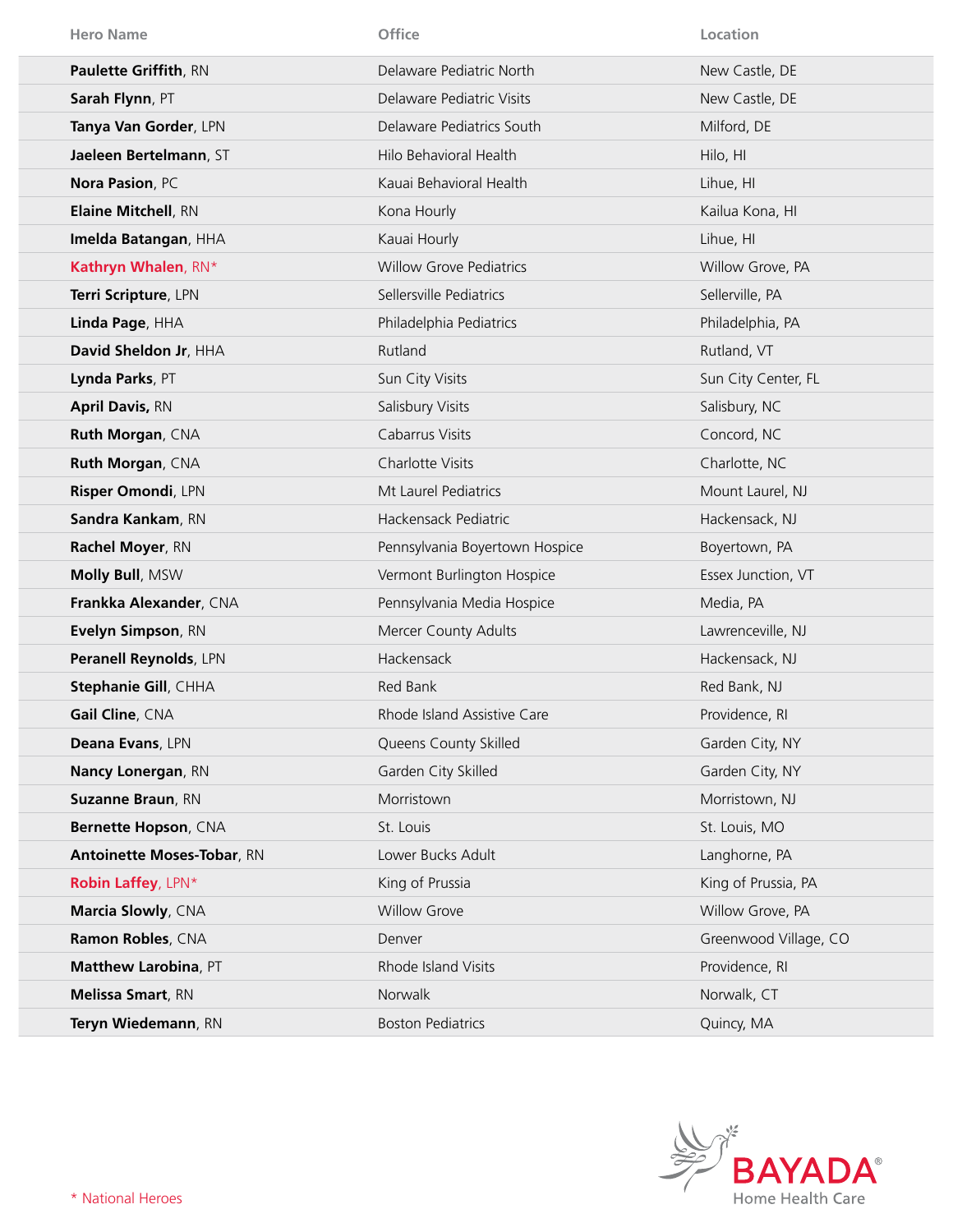| <b>Hero Name</b>                  | Office                         | Location              |
|-----------------------------------|--------------------------------|-----------------------|
| Paulette Griffith, RN             | Delaware Pediatric North       | New Castle, DE        |
| Sarah Flynn, PT                   | Delaware Pediatric Visits      | New Castle, DE        |
| Tanya Van Gorder, LPN             | Delaware Pediatrics South      | Milford, DE           |
| Jaeleen Bertelmann, ST            | Hilo Behavioral Health         | Hilo, HI              |
| Nora Pasion, PC                   | Kauai Behavioral Health        | Lihue, HI             |
| <b>Elaine Mitchell, RN</b>        | Kona Hourly                    | Kailua Kona, HI       |
| Imelda Batangan, HHA              | Kauai Hourly                   | Lihue, HI             |
| Kathryn Whalen, RN*               | <b>Willow Grove Pediatrics</b> | Willow Grove, PA      |
| Terri Scripture, LPN              | Sellersville Pediatrics        | Sellerville, PA       |
| Linda Page, HHA                   | Philadelphia Pediatrics        | Philadelphia, PA      |
| David Sheldon Jr, HHA             | Rutland                        | Rutland, VT           |
| Lynda Parks, PT                   | Sun City Visits                | Sun City Center, FL   |
| <b>April Davis, RN</b>            | Salisbury Visits               | Salisbury, NC         |
| Ruth Morgan, CNA                  | Cabarrus Visits                | Concord, NC           |
| Ruth Morgan, CNA                  | Charlotte Visits               | Charlotte, NC         |
| Risper Omondi, LPN                | Mt Laurel Pediatrics           | Mount Laurel, NJ      |
| Sandra Kankam, RN                 | Hackensack Pediatric           | Hackensack, NJ        |
| Rachel Moyer, RN                  | Pennsylvania Boyertown Hospice | Boyertown, PA         |
| Molly Bull, MSW                   | Vermont Burlington Hospice     | Essex Junction, VT    |
| Frankka Alexander, CNA            | Pennsylvania Media Hospice     | Media, PA             |
| Evelyn Simpson, RN                | Mercer County Adults           | Lawrenceville, NJ     |
| Peranell Reynolds, LPN            | Hackensack                     | Hackensack, NJ        |
| Stephanie Gill, CHHA              | Red Bank                       | Red Bank, NJ          |
| Gail Cline, CNA                   | Rhode Island Assistive Care    | Providence, RI        |
| Deana Evans, LPN                  | Queens County Skilled          | Garden City, NY       |
| Nancy Lonergan, RN                | Garden City Skilled            | Garden City, NY       |
| <b>Suzanne Braun, RN</b>          | Morristown                     | Morristown, NJ        |
| Bernette Hopson, CNA              | St. Louis                      | St. Louis, MO         |
| <b>Antoinette Moses-Tobar, RN</b> | Lower Bucks Adult              | Langhorne, PA         |
| <b>Robin Laffey, LPN*</b>         | King of Prussia                | King of Prussia, PA   |
| Marcia Slowly, CNA                | <b>Willow Grove</b>            | Willow Grove, PA      |
| Ramon Robles, CNA                 | Denver                         | Greenwood Village, CO |
| Matthew Larobina, PT              | Rhode Island Visits            | Providence, RI        |
| Melissa Smart, RN                 | Norwalk                        | Norwalk, CT           |
| Teryn Wiedemann, RN               | <b>Boston Pediatrics</b>       | Quincy, MA            |

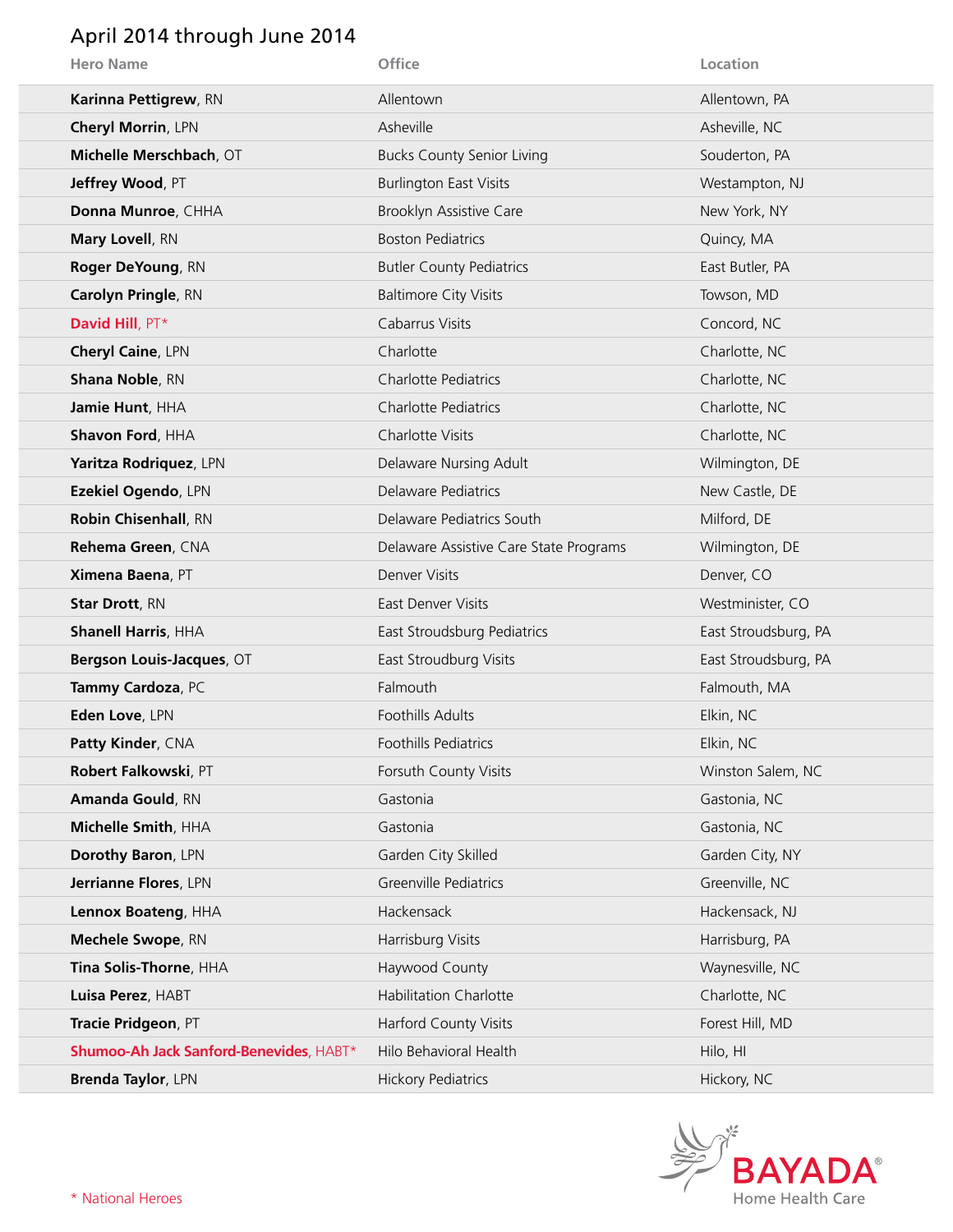### April 2014 through June 2014

| <b>Hero Name</b>                        | Office                                 | Location             |
|-----------------------------------------|----------------------------------------|----------------------|
| Karinna Pettigrew, RN                   | Allentown                              | Allentown, PA        |
| Cheryl Morrin, LPN                      | Asheville                              | Asheville, NC        |
| Michelle Merschbach, OT                 | <b>Bucks County Senior Living</b>      | Souderton, PA        |
| Jeffrey Wood, PT                        | <b>Burlington East Visits</b>          | Westampton, NJ       |
| Donna Munroe, CHHA                      | Brooklyn Assistive Care                | New York, NY         |
| Mary Lovell, RN                         | <b>Boston Pediatrics</b>               | Quincy, MA           |
| Roger DeYoung, RN                       | <b>Butler County Pediatrics</b>        | East Butler, PA      |
| Carolyn Pringle, RN                     | <b>Baltimore City Visits</b>           | Towson, MD           |
| David Hill, PT*                         | Cabarrus Visits                        | Concord, NC          |
| Cheryl Caine, LPN                       | Charlotte                              | Charlotte, NC        |
| <b>Shana Noble, RN</b>                  | <b>Charlotte Pediatrics</b>            | Charlotte, NC        |
| Jamie Hunt, HHA                         | <b>Charlotte Pediatrics</b>            | Charlotte, NC        |
| Shavon Ford, HHA                        | Charlotte Visits                       | Charlotte, NC        |
| Yaritza Rodriquez, LPN                  | Delaware Nursing Adult                 | Wilmington, DE       |
| Ezekiel Ogendo, LPN                     | Delaware Pediatrics                    | New Castle, DE       |
| Robin Chisenhall, RN                    | Delaware Pediatrics South              | Milford, DE          |
| Rehema Green, CNA                       | Delaware Assistive Care State Programs | Wilmington, DE       |
| Ximena Baena, PT                        | Denver Visits                          | Denver, CO           |
| <b>Star Drott, RN</b>                   | East Denver Visits                     | Westminister, CO     |
| <b>Shanell Harris, HHA</b>              | East Stroudsburg Pediatrics            | East Stroudsburg, PA |
| Bergson Louis-Jacques, OT               | East Stroudburg Visits                 | East Stroudsburg, PA |
| Tammy Cardoza, PC                       | Falmouth                               | Falmouth, MA         |
| Eden Love, LPN                          | Foothills Adults                       | Elkin, NC            |
| Patty Kinder, CNA                       | <b>Foothills Pediatrics</b>            | Elkin, NC            |
| Robert Falkowski, PT                    | Forsuth County Visits                  | Winston Salem, NC    |
| <b>Amanda Gould, RN</b>                 | Gastonia                               | Gastonia, NC         |
| Michelle Smith, HHA                     | Gastonia                               | Gastonia, NC         |
| Dorothy Baron, LPN                      | Garden City Skilled                    | Garden City, NY      |
| Jerrianne Flores, LPN                   | Greenville Pediatrics                  | Greenville, NC       |
| Lennox Boateng, HHA                     | Hackensack                             | Hackensack, NJ       |
| Mechele Swope, RN                       | Harrisburg Visits                      | Harrisburg, PA       |
| Tina Solis-Thorne, HHA                  | Haywood County                         | Waynesville, NC      |
| Luisa Perez, HABT                       | <b>Habilitation Charlotte</b>          | Charlotte, NC        |
| Tracie Pridgeon, PT                     | <b>Harford County Visits</b>           | Forest Hill, MD      |
| Shumoo-Ah Jack Sanford-Benevides, HABT* | Hilo Behavioral Health                 | Hilo, HI             |
| Brenda Taylor, LPN                      | <b>Hickory Pediatrics</b>              | Hickory, NC          |

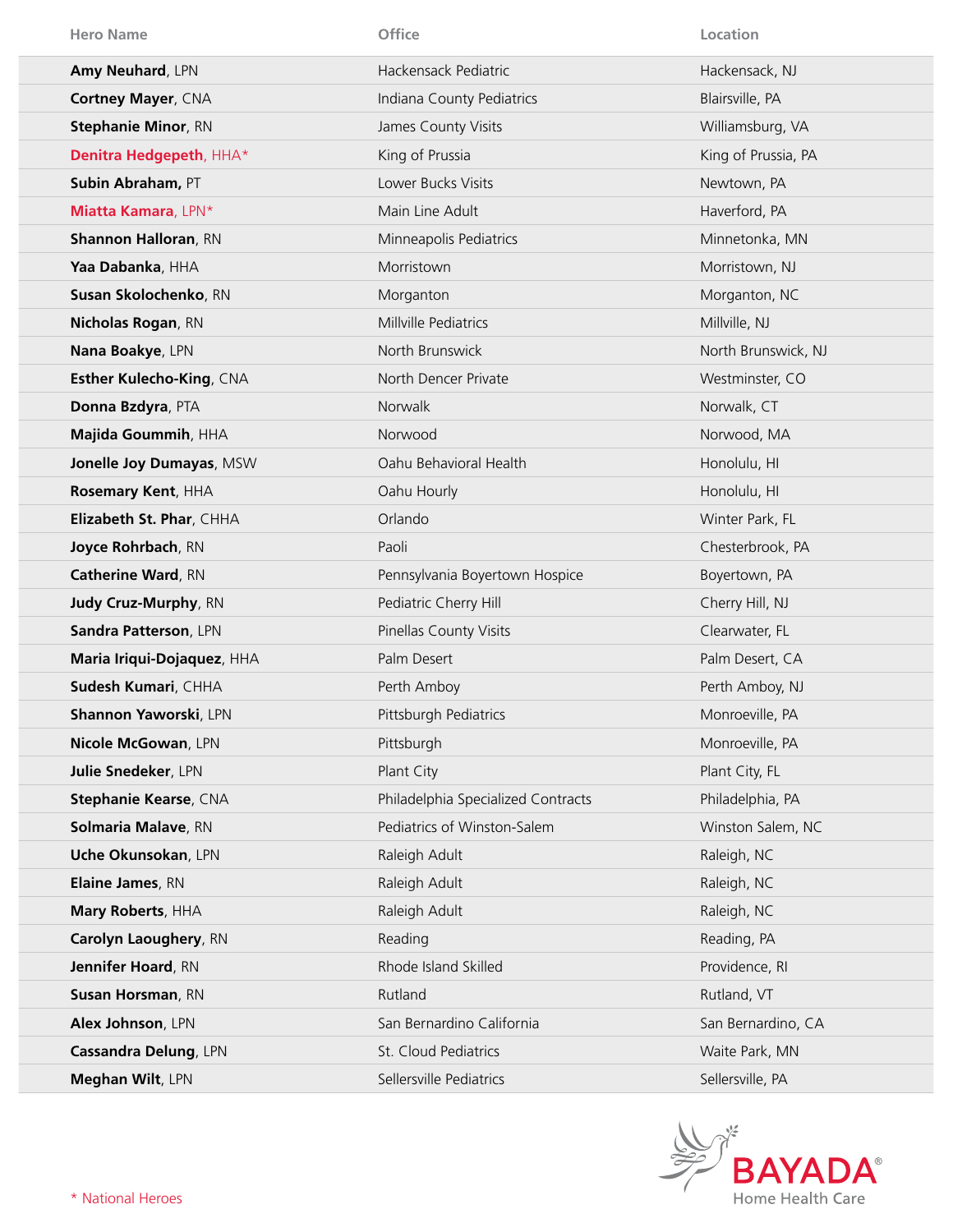| <b>Hero Name</b>            | Office                             | Location            |
|-----------------------------|------------------------------------|---------------------|
| Amy Neuhard, LPN            | Hackensack Pediatric               | Hackensack, NJ      |
| Cortney Mayer, CNA          | Indiana County Pediatrics          | Blairsville, PA     |
| <b>Stephanie Minor, RN</b>  | James County Visits                | Williamsburg, VA    |
| Denitra Hedgepeth, HHA*     | King of Prussia                    | King of Prussia, PA |
| Subin Abraham, PT           | Lower Bucks Visits                 | Newtown, PA         |
| Miatta Kamara, LPN*         | Main Line Adult                    | Haverford, PA       |
| <b>Shannon Halloran, RN</b> | Minneapolis Pediatrics             | Minnetonka, MN      |
| Yaa Dabanka, HHA            | Morristown                         | Morristown, NJ      |
| Susan Skolochenko, RN       | Morganton                          | Morganton, NC       |
| Nicholas Rogan, RN          | Millville Pediatrics               | Millville, NJ       |
| Nana Boakye, LPN            | North Brunswick                    | North Brunswick, NJ |
| Esther Kulecho-King, CNA    | North Dencer Private               | Westminster, CO     |
| Donna Bzdyra, PTA           | <b>Norwalk</b>                     | Norwalk, CT         |
| Majida Goummih, HHA         | Norwood                            | Norwood, MA         |
| Jonelle Joy Dumayas, MSW    | Oahu Behavioral Health             | Honolulu, HI        |
| Rosemary Kent, HHA          | Oahu Hourly                        | Honolulu, HI        |
| Elizabeth St. Phar, CHHA    | Orlando                            | Winter Park, FL     |
| Joyce Rohrbach, RN          | Paoli                              | Chesterbrook, PA    |
| <b>Catherine Ward, RN</b>   | Pennsylvania Boyertown Hospice     | Boyertown, PA       |
| Judy Cruz-Murphy, RN        | Pediatric Cherry Hill              | Cherry Hill, NJ     |
| Sandra Patterson, LPN       | Pinellas County Visits             | Clearwater, FL      |
| Maria Iriqui-Dojaquez, HHA  | Palm Desert                        | Palm Desert, CA     |
| Sudesh Kumari, CHHA         | Perth Amboy                        | Perth Amboy, NJ     |
| Shannon Yaworski, LPN       | Pittsburgh Pediatrics              | Monroeville, PA     |
| Nicole McGowan, LPN         | Pittsburgh                         | Monroeville, PA     |
| Julie Snedeker, LPN         | Plant City                         | Plant City, FL      |
| Stephanie Kearse, CNA       | Philadelphia Specialized Contracts | Philadelphia, PA    |
| Solmaria Malave, RN         | Pediatrics of Winston-Salem        | Winston Salem, NC   |
| Uche Okunsokan, LPN         | Raleigh Adult                      | Raleigh, NC         |
| Elaine James, RN            | Raleigh Adult                      | Raleigh, NC         |
| Mary Roberts, HHA           | Raleigh Adult                      | Raleigh, NC         |
| Carolyn Laoughery, RN       | Reading                            | Reading, PA         |
| Jennifer Hoard, RN          | Rhode Island Skilled               | Providence, RI      |
| Susan Horsman, RN           | Rutland                            | Rutland, VT         |
| Alex Johnson, LPN           | San Bernardino California          | San Bernardino, CA  |
| Cassandra Delung, LPN       | St. Cloud Pediatrics               | Waite Park, MN      |
| Meghan Wilt, LPN            | Sellersville Pediatrics            | Sellersville, PA    |

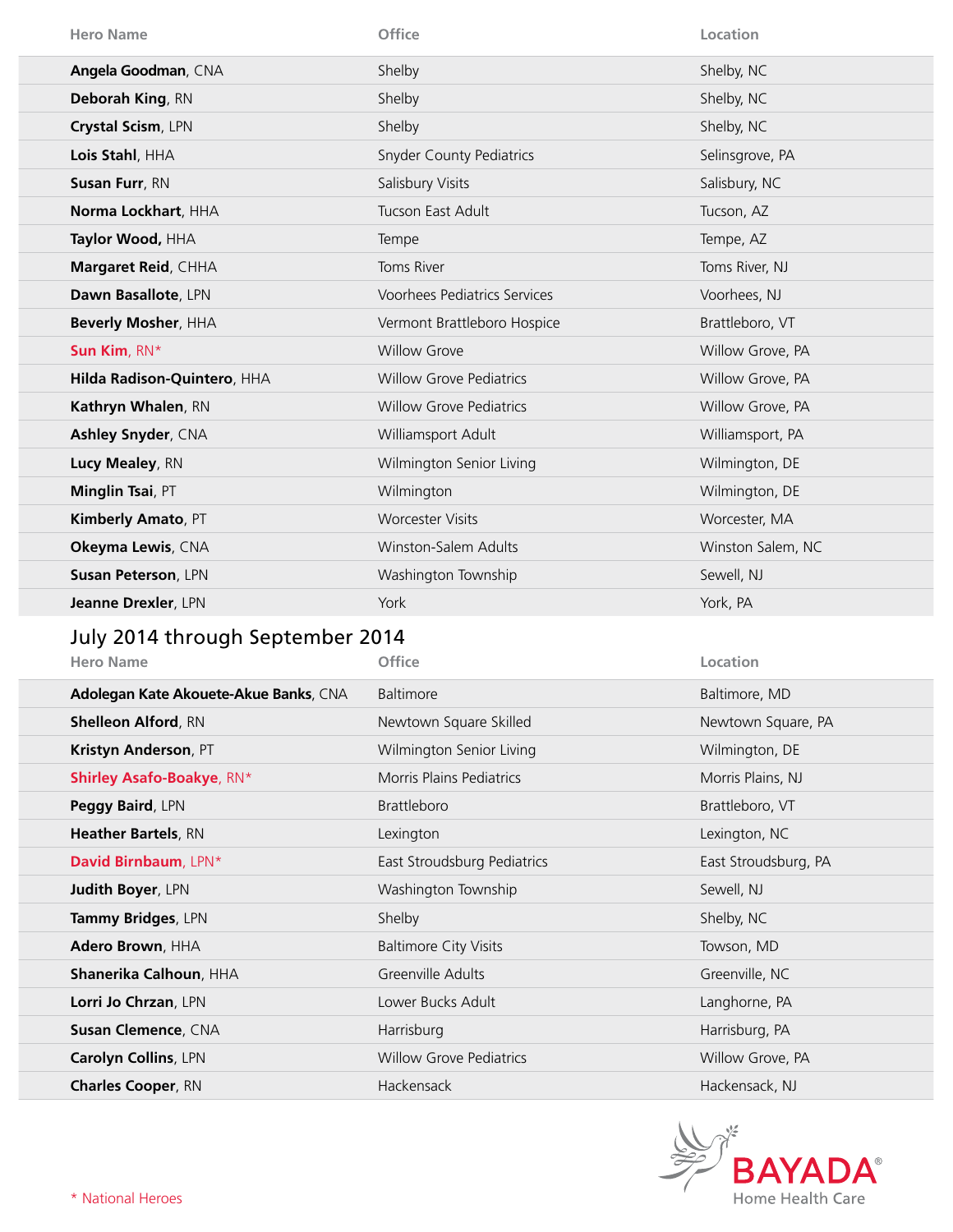| <b>Hero Name</b>            | Office                              | Location          |
|-----------------------------|-------------------------------------|-------------------|
| Angela Goodman, CNA         | Shelby                              | Shelby, NC        |
| Deborah King, RN            | Shelby                              | Shelby, NC        |
| Crystal Scism, LPN          | Shelby                              | Shelby, NC        |
| Lois Stahl, HHA             | <b>Snyder County Pediatrics</b>     | Selinsgrove, PA   |
| Susan Furr, RN              | Salisbury Visits                    | Salisbury, NC     |
| Norma Lockhart, HHA         | Tucson East Adult                   | Tucson, AZ        |
| Taylor Wood, HHA            | Tempe                               | Tempe, AZ         |
| Margaret Reid, CHHA         | Toms River                          | Toms River, NJ    |
| Dawn Basallote, LPN         | <b>Voorhees Pediatrics Services</b> | Voorhees, NJ      |
| Beverly Mosher, HHA         | Vermont Brattleboro Hospice         | Brattleboro, VT   |
| Sun Kim, RN*                | <b>Willow Grove</b>                 | Willow Grove, PA  |
| Hilda Radison-Quintero, HHA | <b>Willow Grove Pediatrics</b>      | Willow Grove, PA  |
| Kathryn Whalen, RN          | <b>Willow Grove Pediatrics</b>      | Willow Grove, PA  |
| Ashley Snyder, CNA          | Williamsport Adult                  | Williamsport, PA  |
| Lucy Mealey, RN             | Wilmington Senior Living            | Wilmington, DE    |
| Minglin Tsai, PT            | Wilmington                          | Wilmington, DE    |
| Kimberly Amato, PT          | <b>Worcester Visits</b>             | Worcester, MA     |
| Okeyma Lewis, CNA           | Winston-Salem Adults                | Winston Salem, NC |
| Susan Peterson, LPN         | Washington Township                 | Sewell, NJ        |
| Jeanne Drexler, LPN         | York                                | York, PA          |
|                             |                                     |                   |

## July 2014 through September 2014

| <b>Hero Name</b>                      | <b>Office</b>                   | Location             |
|---------------------------------------|---------------------------------|----------------------|
| Adolegan Kate Akouete-Akue Banks, CNA | <b>Baltimore</b>                | Baltimore, MD        |
| <b>Shelleon Alford, RN</b>            | Newtown Square Skilled          | Newtown Square, PA   |
| Kristyn Anderson, PT                  | Wilmington Senior Living        | Wilmington, DE       |
| <b>Shirley Asafo-Boakye, RN*</b>      | <b>Morris Plains Pediatrics</b> | Morris Plains, NJ    |
| <b>Peggy Baird, LPN</b>               | <b>Brattleboro</b>              | Brattleboro, VT      |
| <b>Heather Bartels, RN</b>            | Lexington                       | Lexington, NC        |
| David Birnbaum, LPN*                  | East Stroudsburg Pediatrics     | East Stroudsburg, PA |
| <b>Judith Boyer, LPN</b>              | Washington Township             | Sewell, NJ           |
| Tammy Bridges, LPN                    | Shelby                          | Shelby, NC           |
| Adero Brown, HHA                      | <b>Baltimore City Visits</b>    | Towson, MD           |
| Shanerika Calhoun, HHA                | Greenville Adults               | Greenville, NC       |
| Lorri Jo Chrzan, LPN                  | Lower Bucks Adult               | Langhorne, PA        |
| Susan Clemence, CNA                   | Harrisburg                      | Harrisburg, PA       |
| Carolyn Collins, LPN                  | <b>Willow Grove Pediatrics</b>  | Willow Grove, PA     |
| <b>Charles Cooper, RN</b>             | Hackensack                      | Hackensack, NJ       |

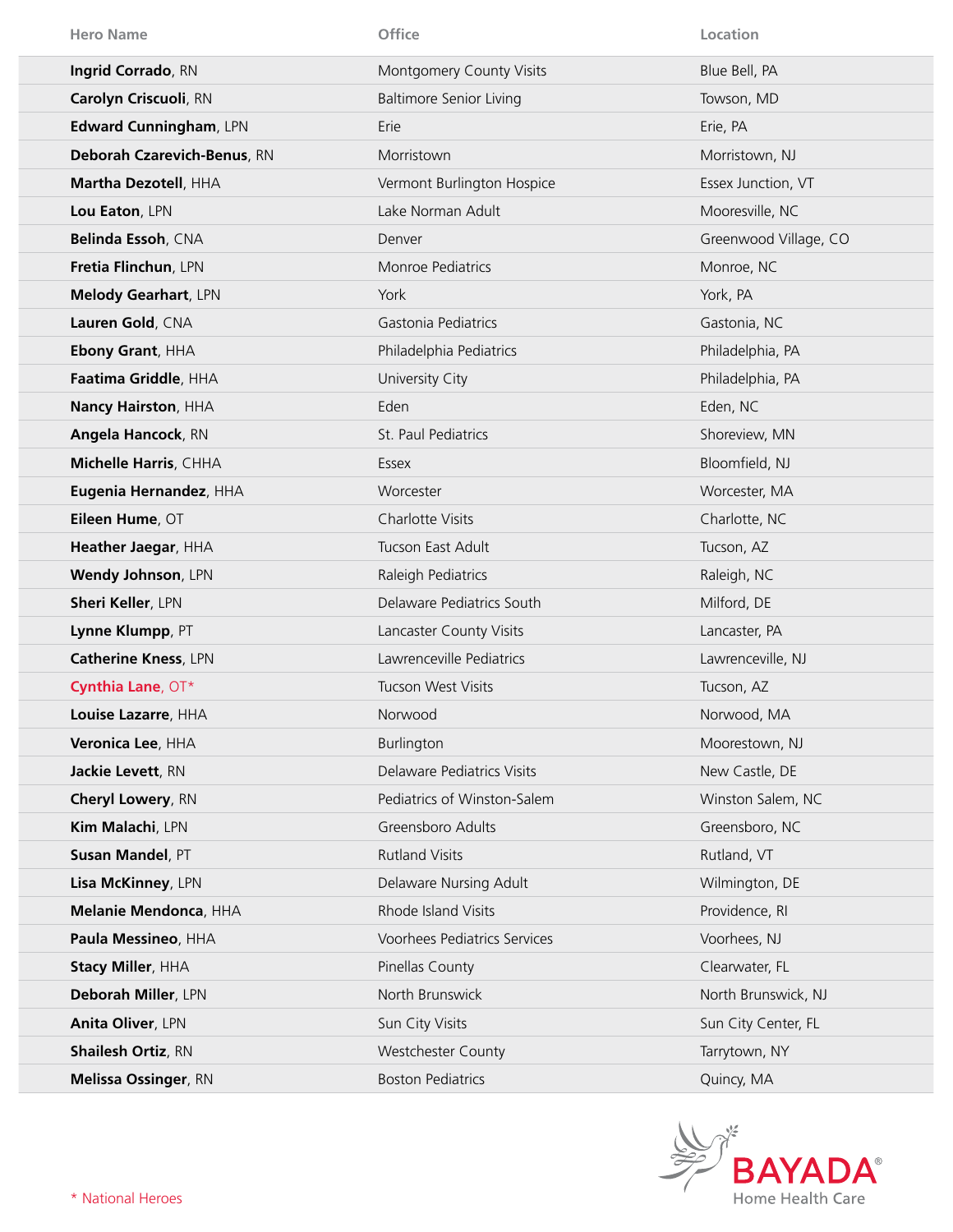| <b>Hero Name</b>            | Office                         | Location              |
|-----------------------------|--------------------------------|-----------------------|
| Ingrid Corrado, RN          | Montgomery County Visits       | Blue Bell, PA         |
| Carolyn Criscuoli, RN       | <b>Baltimore Senior Living</b> | Towson, MD            |
| Edward Cunningham, LPN      | Erie                           | Erie, PA              |
| Deborah Czarevich-Benus, RN | Morristown                     | Morristown, NJ        |
| Martha Dezotell, HHA        | Vermont Burlington Hospice     | Essex Junction, VT    |
| Lou Eaton, LPN              | Lake Norman Adult              | Mooresville, NC       |
| Belinda Essoh, CNA          | Denver                         | Greenwood Village, CO |
| Fretia Flinchun, LPN        | Monroe Pediatrics              | Monroe, NC            |
| <b>Melody Gearhart, LPN</b> | York                           | York, PA              |
| Lauren Gold, CNA            | Gastonia Pediatrics            | Gastonia, NC          |
| <b>Ebony Grant, HHA</b>     | Philadelphia Pediatrics        | Philadelphia, PA      |
| Faatima Griddle, HHA        | University City                | Philadelphia, PA      |
| Nancy Hairston, HHA         | Eden                           | Eden, NC              |
| Angela Hancock, RN          | St. Paul Pediatrics            | Shoreview, MN         |
| Michelle Harris, CHHA       | Essex                          | Bloomfield, NJ        |
| Eugenia Hernandez, HHA      | Worcester                      | Worcester, MA         |
| Eileen Hume, OT             | Charlotte Visits               | Charlotte, NC         |
| Heather Jaegar, HHA         | Tucson East Adult              | Tucson, AZ            |
| Wendy Johnson, LPN          | Raleigh Pediatrics             | Raleigh, NC           |
| <b>Sheri Keller, LPN</b>    | Delaware Pediatrics South      | Milford, DE           |
| Lynne Klumpp, PT            | Lancaster County Visits        | Lancaster, PA         |
| <b>Catherine Kness, LPN</b> | Lawrenceville Pediatrics       | Lawrenceville, NJ     |
| Cynthia Lane, OT*           | Tucson West Visits             | Tucson, AZ            |
| Louise Lazarre, HHA         | Norwood                        | Norwood, MA           |
| Veronica Lee, HHA           | Burlington                     | Moorestown, NJ        |
| Jackie Levett, RN           | Delaware Pediatrics Visits     | New Castle, DE        |
| <b>Cheryl Lowery, RN</b>    | Pediatrics of Winston-Salem    | Winston Salem, NC     |
| Kim Malachi, LPN            | Greensboro Adults              | Greensboro, NC        |
| Susan Mandel, PT            | <b>Rutland Visits</b>          | Rutland, VT           |
| Lisa McKinney, LPN          | Delaware Nursing Adult         | Wilmington, DE        |
| Melanie Mendonca, HHA       | Rhode Island Visits            | Providence, RI        |
| Paula Messineo, HHA         | Voorhees Pediatrics Services   | Voorhees, NJ          |
| <b>Stacy Miller, HHA</b>    | Pinellas County                | Clearwater, FL        |
| Deborah Miller, LPN         | North Brunswick                | North Brunswick, NJ   |
| Anita Oliver, LPN           | Sun City Visits                | Sun City Center, FL   |
| <b>Shailesh Ortiz, RN</b>   | <b>Westchester County</b>      | Tarrytown, NY         |
| Melissa Ossinger, RN        | <b>Boston Pediatrics</b>       | Quincy, MA            |

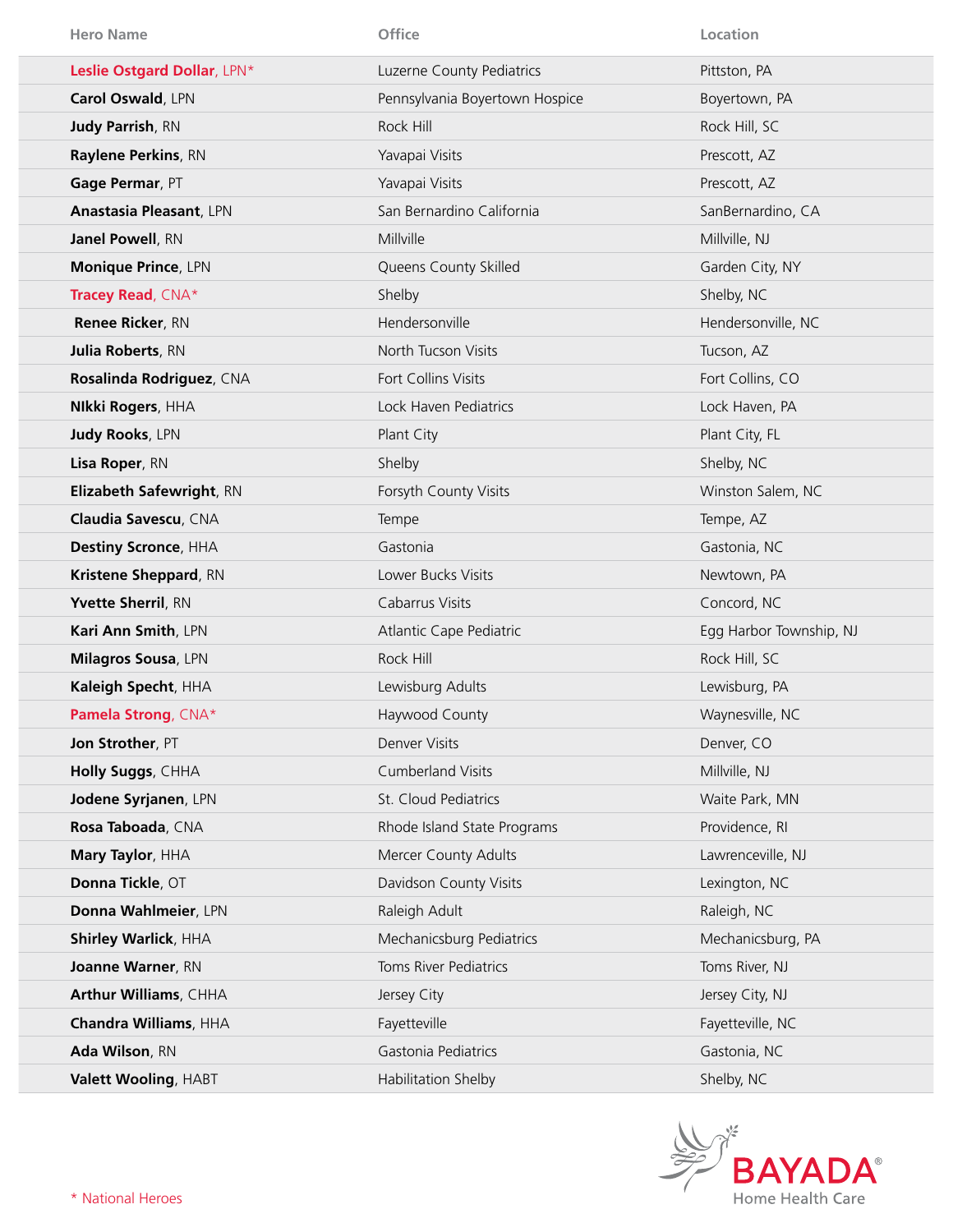| <b>Hero Name</b>               | Office                         | Location                |
|--------------------------------|--------------------------------|-------------------------|
| Leslie Ostgard Dollar, LPN*    | Luzerne County Pediatrics      | Pittston, PA            |
| Carol Oswald, LPN              | Pennsylvania Boyertown Hospice | Boyertown, PA           |
| <b>Judy Parrish, RN</b>        | Rock Hill                      | Rock Hill, SC           |
| Raylene Perkins, RN            | Yavapai Visits                 | Prescott, AZ            |
| Gage Permar, PT                | Yavapai Visits                 | Prescott, AZ            |
| <b>Anastasia Pleasant, LPN</b> | San Bernardino California      | SanBernardino, CA       |
| Janel Powell, RN               | Millville                      | Millville, NJ           |
| Monique Prince, LPN            | Queens County Skilled          | Garden City, NY         |
| Tracey Read, CNA*              | Shelby                         | Shelby, NC              |
| Renee Ricker, RN               | Hendersonville                 | Hendersonville, NC      |
| <b>Julia Roberts, RN</b>       | North Tucson Visits            | Tucson, AZ              |
| Rosalinda Rodriguez, CNA       | Fort Collins Visits            | Fort Collins, CO        |
| <b>Nikki Rogers, HHA</b>       | Lock Haven Pediatrics          | Lock Haven, PA          |
| <b>Judy Rooks, LPN</b>         | Plant City                     | Plant City, FL          |
| Lisa Roper, RN                 | Shelby                         | Shelby, NC              |
| Elizabeth Safewright, RN       | Forsyth County Visits          | Winston Salem, NC       |
| Claudia Savescu, CNA           | Tempe                          | Tempe, AZ               |
| <b>Destiny Scronce, HHA</b>    | Gastonia                       | Gastonia, NC            |
| Kristene Sheppard, RN          | Lower Bucks Visits             | Newtown, PA             |
| Yvette Sherril, RN             | Cabarrus Visits                | Concord, NC             |
| Kari Ann Smith, LPN            | Atlantic Cape Pediatric        | Egg Harbor Township, NJ |
| Milagros Sousa, LPN            | Rock Hill                      | Rock Hill, SC           |
| Kaleigh Specht, HHA            | Lewisburg Adults               | Lewisburg, PA           |
| Pamela Strong, CNA*            | Haywood County                 | Waynesville, NC         |
| Jon Strother, PT               | Denver Visits                  | Denver, CO              |
| Holly Suggs, CHHA              | <b>Cumberland Visits</b>       | Millville, NJ           |
| Jodene Syrjanen, LPN           | St. Cloud Pediatrics           | Waite Park, MN          |
| Rosa Taboada, CNA              | Rhode Island State Programs    | Providence, RI          |
| Mary Taylor, HHA               | Mercer County Adults           | Lawrenceville, NJ       |
| Donna Tickle, OT               | Davidson County Visits         | Lexington, NC           |
| Donna Wahlmeier, LPN           | Raleigh Adult                  | Raleigh, NC             |
| Shirley Warlick, HHA           | Mechanicsburg Pediatrics       | Mechanicsburg, PA       |
| Joanne Warner, RN              | <b>Toms River Pediatrics</b>   | Toms River, NJ          |
| Arthur Williams, CHHA          | Jersey City                    | Jersey City, NJ         |
| Chandra Williams, HHA          | Fayetteville                   | Fayetteville, NC        |
| Ada Wilson, RN                 | Gastonia Pediatrics            | Gastonia, NC            |
| Valett Wooling, HABT           | Habilitation Shelby            | Shelby, NC              |

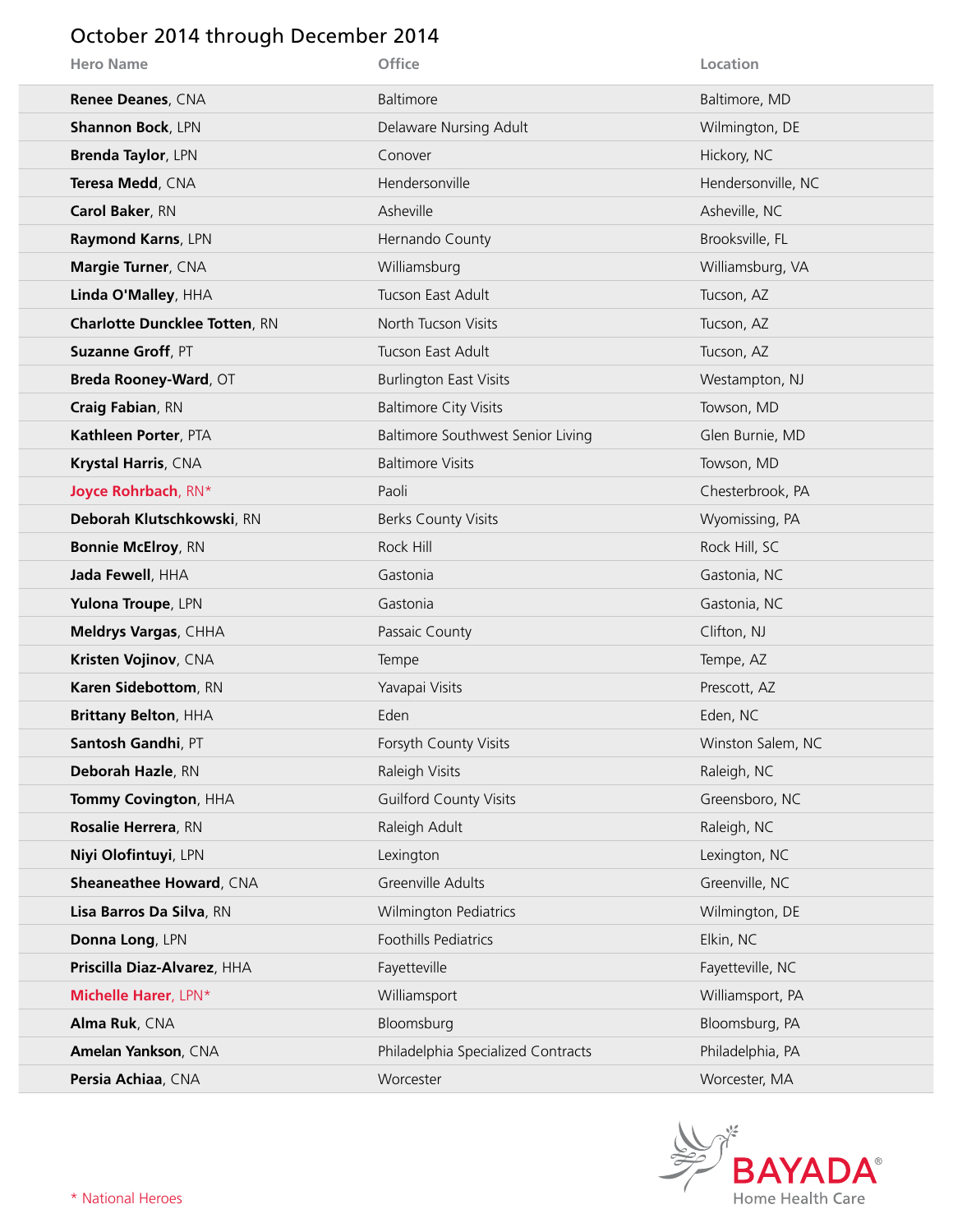### October 2014 through December 2014

| <b>Hero Name</b>                     | Office                             | Location           |
|--------------------------------------|------------------------------------|--------------------|
| Renee Deanes, CNA                    | Baltimore                          | Baltimore, MD      |
| <b>Shannon Bock, LPN</b>             | Delaware Nursing Adult             | Wilmington, DE     |
| <b>Brenda Taylor, LPN</b>            | Conover                            | Hickory, NC        |
| Teresa Medd, CNA                     | Hendersonville                     | Hendersonville, NC |
| Carol Baker, RN                      | Asheville                          | Asheville, NC      |
| Raymond Karns, LPN                   | Hernando County                    | Brooksville, FL    |
| Margie Turner, CNA                   | Williamsburg                       | Williamsburg, VA   |
| Linda O'Malley, HHA                  | Tucson East Adult                  | Tucson, AZ         |
| <b>Charlotte Duncklee Totten, RN</b> | North Tucson Visits                | Tucson, AZ         |
| Suzanne Groff, PT                    | Tucson East Adult                  | Tucson, AZ         |
| Breda Rooney-Ward, OT                | <b>Burlington East Visits</b>      | Westampton, NJ     |
| Craig Fabian, RN                     | <b>Baltimore City Visits</b>       | Towson, MD         |
| Kathleen Porter, PTA                 | Baltimore Southwest Senior Living  | Glen Burnie, MD    |
| Krystal Harris, CNA                  | <b>Baltimore Visits</b>            | Towson, MD         |
| Joyce Rohrbach, RN*                  | Paoli                              | Chesterbrook, PA   |
| Deborah Klutschkowski, RN            | <b>Berks County Visits</b>         | Wyomissing, PA     |
| <b>Bonnie McElroy, RN</b>            | Rock Hill                          | Rock Hill, SC      |
| Jada Fewell, HHA                     | Gastonia                           | Gastonia, NC       |
| Yulona Troupe, LPN                   | Gastonia                           | Gastonia, NC       |
| Meldrys Vargas, CHHA                 | Passaic County                     | Clifton, NJ        |
| Kristen Vojinov, CNA                 | Tempe                              | Tempe, AZ          |
| Karen Sidebottom, RN                 | Yavapai Visits                     | Prescott, AZ       |
| <b>Brittany Belton, HHA</b>          | Eden                               | Eden, NC           |
| Santosh Gandhi, PT                   | Forsyth County Visits              | Winston Salem, NC  |
| Deborah Hazle, RN                    | Raleigh Visits                     | Raleigh, NC        |
| Tommy Covington, HHA                 | <b>Guilford County Visits</b>      | Greensboro, NC     |
| Rosalie Herrera, RN                  | Raleigh Adult                      | Raleigh, NC        |
| Niyi Olofintuyi, LPN                 | Lexington                          | Lexington, NC      |
| Sheaneathee Howard, CNA              | Greenville Adults                  | Greenville, NC     |
| Lisa Barros Da Silva, RN             | <b>Wilmington Pediatrics</b>       | Wilmington, DE     |
| Donna Long, LPN                      | Foothills Pediatrics               | Elkin, NC          |
| Priscilla Diaz-Alvarez, HHA          | Fayetteville                       | Fayetteville, NC   |
| Michelle Harer, LPN*                 | Williamsport                       | Williamsport, PA   |
| Alma Ruk, CNA                        | Bloomsburg                         | Bloomsburg, PA     |
| Amelan Yankson, CNA                  | Philadelphia Specialized Contracts | Philadelphia, PA   |
| Persia Achiaa, CNA                   | Worcester                          | Worcester, MA      |

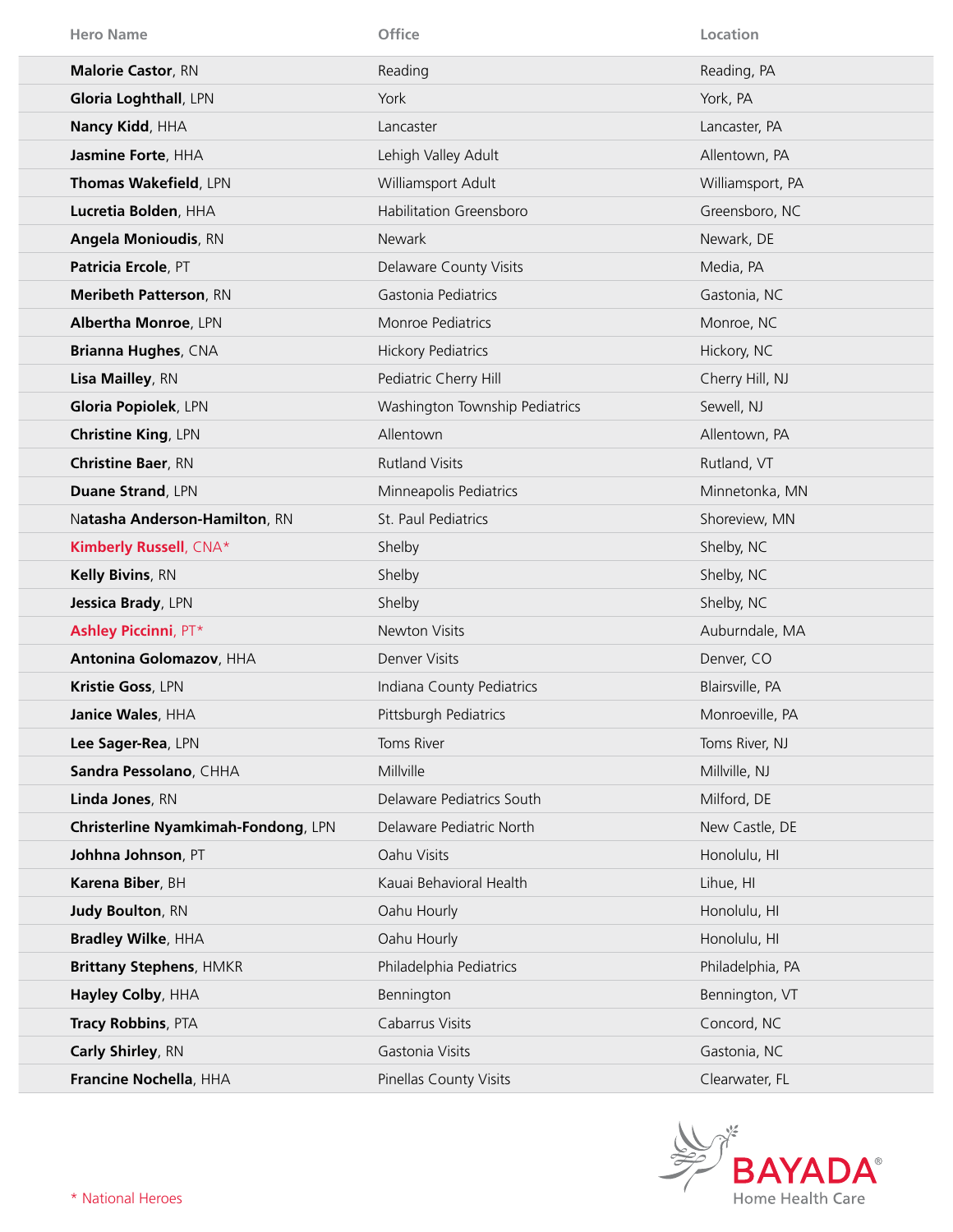| <b>Hero Name</b>                    | Office                         | Location         |
|-------------------------------------|--------------------------------|------------------|
| <b>Malorie Castor, RN</b>           | Reading                        | Reading, PA      |
| Gloria Loghthall, LPN               | York                           | York, PA         |
| Nancy Kidd, HHA                     | Lancaster                      | Lancaster, PA    |
| Jasmine Forte, HHA                  | Lehigh Valley Adult            | Allentown, PA    |
| Thomas Wakefield, LPN               | Williamsport Adult             | Williamsport, PA |
| Lucretia Bolden, HHA                | <b>Habilitation Greensboro</b> | Greensboro, NC   |
| <b>Angela Monioudis, RN</b>         | <b>Newark</b>                  | Newark, DE       |
| Patricia Ercole, PT                 | Delaware County Visits         | Media, PA        |
| Meribeth Patterson, RN              | Gastonia Pediatrics            | Gastonia, NC     |
| Albertha Monroe, LPN                | Monroe Pediatrics              | Monroe, NC       |
| <b>Brianna Hughes, CNA</b>          | <b>Hickory Pediatrics</b>      | Hickory, NC      |
| Lisa Mailley, RN                    | Pediatric Cherry Hill          | Cherry Hill, NJ  |
| Gloria Popiolek, LPN                | Washington Township Pediatrics | Sewell, NJ       |
| <b>Christine King, LPN</b>          | Allentown                      | Allentown, PA    |
| <b>Christine Baer, RN</b>           | <b>Rutland Visits</b>          | Rutland, VT      |
| <b>Duane Strand, LPN</b>            | Minneapolis Pediatrics         | Minnetonka, MN   |
| Natasha Anderson-Hamilton, RN       | St. Paul Pediatrics            | Shoreview, MN    |
| Kimberly Russell, CNA*              | Shelby                         | Shelby, NC       |
| Kelly Bivins, RN                    | Shelby                         | Shelby, NC       |
| Jessica Brady, LPN                  | Shelby                         | Shelby, NC       |
| <b>Ashley Piccinni, PT*</b>         | Newton Visits                  | Auburndale, MA   |
| Antonina Golomazov, HHA             | Denver Visits                  | Denver, CO       |
| Kristie Goss, LPN                   | Indiana County Pediatrics      | Blairsville, PA  |
| Janice Wales, HHA                   | Pittsburgh Pediatrics          | Monroeville, PA  |
| Lee Sager-Rea, LPN                  | Toms River                     | Toms River, NJ   |
| Sandra Pessolano, CHHA              | Millville                      | Millville, NJ    |
| Linda Jones, RN                     | Delaware Pediatrics South      | Milford, DE      |
| Christerline Nyamkimah-Fondong, LPN | Delaware Pediatric North       | New Castle, DE   |
| Johhna Johnson, PT                  | Oahu Visits                    | Honolulu, HI     |
| Karena Biber, BH                    | Kauai Behavioral Health        | Lihue, HI        |
| Judy Boulton, RN                    | Oahu Hourly                    | Honolulu, HI     |
| <b>Bradley Wilke, HHA</b>           | Oahu Hourly                    | Honolulu, HI     |
| <b>Brittany Stephens, HMKR</b>      | Philadelphia Pediatrics        | Philadelphia, PA |
| Hayley Colby, HHA                   | Bennington                     | Bennington, VT   |
| Tracy Robbins, PTA                  | Cabarrus Visits                | Concord, NC      |
| Carly Shirley, RN                   | Gastonia Visits                | Gastonia, NC     |
| Francine Nochella, HHA              | Pinellas County Visits         | Clearwater, FL   |